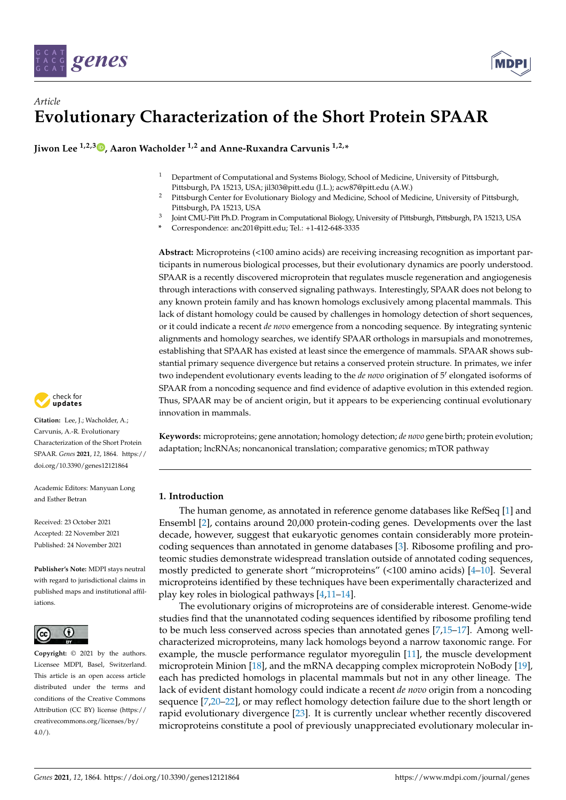



# *Article* **Evolutionary Characterization of the Short Protein SPAAR**

**Jiwon Lee 1,2,3 [,](https://orcid.org/0000-0002-4079-7494) Aaron Wacholder 1,2 and Anne-Ruxandra Carvunis 1,2,\***

- <sup>1</sup> Department of Computational and Systems Biology, School of Medicine, University of Pittsburgh, Pittsburgh, PA 15213, USA; jil303@pitt.edu (J.L.); acw87@pitt.edu (A.W.)
- <sup>2</sup> Pittsburgh Center for Evolutionary Biology and Medicine, School of Medicine, University of Pittsburgh, Pittsburgh, PA 15213, USA
- 3 Joint CMU-Pitt Ph.D. Program in Computational Biology, University of Pittsburgh, Pittsburgh, PA 15213, USA
- **\*** Correspondence: anc201@pitt.edu; Tel.: +1-412-648-3335

**Abstract:** Microproteins (<100 amino acids) are receiving increasing recognition as important participants in numerous biological processes, but their evolutionary dynamics are poorly understood. SPAAR is a recently discovered microprotein that regulates muscle regeneration and angiogenesis through interactions with conserved signaling pathways. Interestingly, SPAAR does not belong to any known protein family and has known homologs exclusively among placental mammals. This lack of distant homology could be caused by challenges in homology detection of short sequences, or it could indicate a recent *de novo* emergence from a noncoding sequence. By integrating syntenic alignments and homology searches, we identify SPAAR orthologs in marsupials and monotremes, establishing that SPAAR has existed at least since the emergence of mammals. SPAAR shows substantial primary sequence divergence but retains a conserved protein structure. In primates, we infer two independent evolutionary events leading to the *de novo* origination of 5' elongated isoforms of SPAAR from a noncoding sequence and find evidence of adaptive evolution in this extended region. Thus, SPAAR may be of ancient origin, but it appears to be experiencing continual evolutionary innovation in mammals.

**Keywords:** microproteins; gene annotation; homology detection; *de novo* gene birth; protein evolution; adaptation; lncRNAs; noncanonical translation; comparative genomics; mTOR pathway

# **1. Introduction**

The human genome, as annotated in reference genome databases like RefSeq [\[1\]](#page-12-0) and Ensembl [\[2\]](#page-12-1), contains around 20,000 protein-coding genes. Developments over the last decade, however, suggest that eukaryotic genomes contain considerably more proteincoding sequences than annotated in genome databases [\[3\]](#page-12-2). Ribosome profiling and proteomic studies demonstrate widespread translation outside of annotated coding sequences, mostly predicted to generate short "microproteins" (<100 amino acids) [\[4–](#page-12-3)[10\]](#page-12-4). Several microproteins identified by these techniques have been experimentally characterized and play key roles in biological pathways [\[4](#page-12-3)[,11–](#page-12-5)[14\]](#page-12-6).

The evolutionary origins of microproteins are of considerable interest. Genome-wide studies find that the unannotated coding sequences identified by ribosome profiling tend to be much less conserved across species than annotated genes [\[7](#page-12-7)[,15–](#page-12-8)[17\]](#page-12-9). Among wellcharacterized microproteins, many lack homologs beyond a narrow taxonomic range. For example, the muscle performance regulator myoregulin [\[11\]](#page-12-5), the muscle development microprotein Minion [\[18\]](#page-13-0), and the mRNA decapping complex microprotein NoBody [\[19\]](#page-13-1), each has predicted homologs in placental mammals but not in any other lineage. The lack of evident distant homology could indicate a recent *de novo* origin from a noncoding sequence [\[7](#page-12-7)[,20–](#page-13-2)[22\]](#page-13-3), or may reflect homology detection failure due to the short length or rapid evolutionary divergence [\[23\]](#page-13-4). It is currently unclear whether recently discovered microproteins constitute a pool of previously unappreciated evolutionary molecular in-



**Citation:** Lee, J.; Wacholder, A.; Carvunis, A.-R. Evolutionary Characterization of the Short Protein SPAAR. *Genes* **2021**, *12*, 1864. [https://](https://doi.org/10.3390/genes12121864) [doi.org/10.3390/genes12121864](https://doi.org/10.3390/genes12121864)

Academic Editors: Manyuan Long and Esther Betran

Received: 23 October 2021 Accepted: 22 November 2021 Published: 24 November 2021

**Publisher's Note:** MDPI stays neutral with regard to jurisdictional claims in published maps and institutional affiliations.



**Copyright:** © 2021 by the authors. Licensee MDPI, Basel, Switzerland. This article is an open access article distributed under the terms and conditions of the Creative Commons Attribution (CC BY) license (https:/[/](https://creativecommons.org/licenses/by/4.0/) [creativecommons.org/licenses/by/](https://creativecommons.org/licenses/by/4.0/) 4.0/).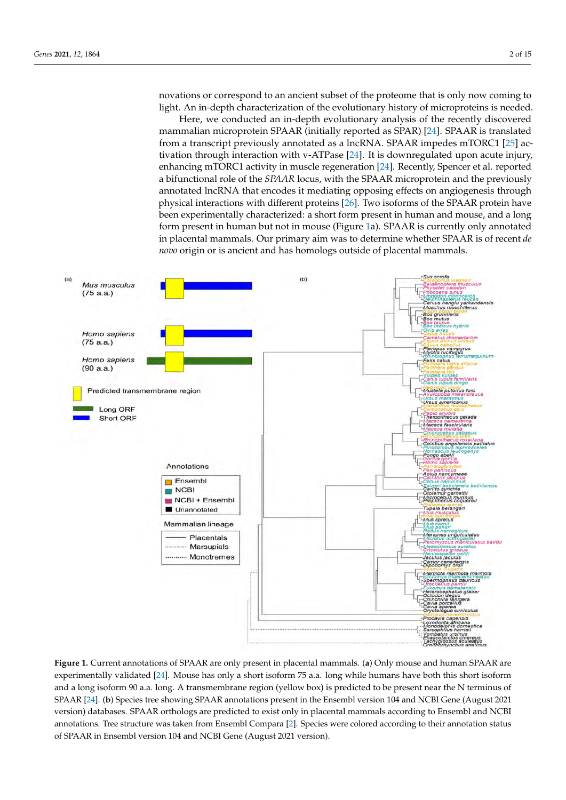novations or correspond to an ancient subset of the proteome that is only now coming to light. An in-depth characterization of the evolutionary history of microproteins is needed. innovations or correspond to an ancient subset of the proteint subset of the proteint subset of the proteint subset of the proteint subset of the proteint subset of the proteint subset of the proteint subset of the protei

Here, we conducted an in-depth evolutionary analysis of the recently discovered Here, we conducted an in-depth evolutionary analysis of the recently discovered mammalian microprotein SPAAR (initially reported as SPAR) [\[24\]](#page-13-5). SPAAR is translated mammalian microprotein SPAAR (initially reported as SPAR) [24]. SPAAR is translated from a transcript previously annotated as a lncRNA. SPAAR impedes mTORC1 [\[25\]](#page-13-6) ac-tivation through interaction with v-ATPase [\[24\]](#page-13-5). It is downregulated upon acute injury,<br>
activation through interaction with v-ATPase [24]. It is downregulated upon acute injury, enhancing mTORC1 activity in muscle regeneration [\[24\]](#page-13-5). Recently, Spencer et al. reported enhancing mTORC1 activity in muscle regeneration [24]. Recently, Spencer et al. reported a bifunctional role of the *SPAAR* locus, with the SPAAR microprotein and the previously a bifunctional role of the *SPAAR* locus, with the SPAAR microprotein and the previously annotated lncRNA that encodes it mediating opposing effects on angiogenesis through annotated lncRNA that encodes it mediating opposing effects on angiogenesis through physical interactions with different proteins [\[26\]](#page-13-7). Two isoforms of the SPAAR protein have physical interactions with different proteins [26]. Two isoforms of the SPAAR protein have been experimentally characterized: a short form present in human and mouse, and a long been experimentally characterized: a short form present in human and mouse, and a long<br>form present in human but not in mouse (Figure [1a](#page-1-0)). SPAAR is currently only annotated in placental mammals. Our primary aim was to determine whether SPAAR is of recent *de* in placental mammals. Our primary aim was to determine whether SPAAR is of recent *de novo* origin or is ancient and has homologs outside of placental mammals. and  $\alpha$  matrices in placental matrices in place  $\alpha$  matrices out placental mammals. On the case of  $\alpha$ 

<span id="page-1-0"></span>

Figure 1. Current annotations of SPAAR are only present in placental mammals. (a) Only mouse and human SPAAR are experimentally validated [\[24\]](#page-13-5). Mouse has only a short isoform 75 a.a. long while humans have both this short isoform and a long isoform 90 a.a. long. A transmembrane region (yellow box) is predicted to be present near the N terminus of en annotations tree showing Species tree showing Species tree showing present in the English Species of the English Species of the English Species of the English Species of the English Species of the English Species of the SPAAR [\[24\]](#page-13-5). (b) Species tree showing SPAAR annotations present in the Ensembl version 104 and NCBI Gene (August 2021<br>And the contract of the contract of the contract of the contract of the contract of the contract of the c version) databases. SPAAR orthologs are predicted to exist only in placental mammals according to Ensembl and NCBI annotations. Tree structure was taken from Ensembl Compara [\[2\]](#page-12-1). Species were colored according to their annotation status of SPAAR in Ensembl version 104 and NCBI Gene (August 2021 version).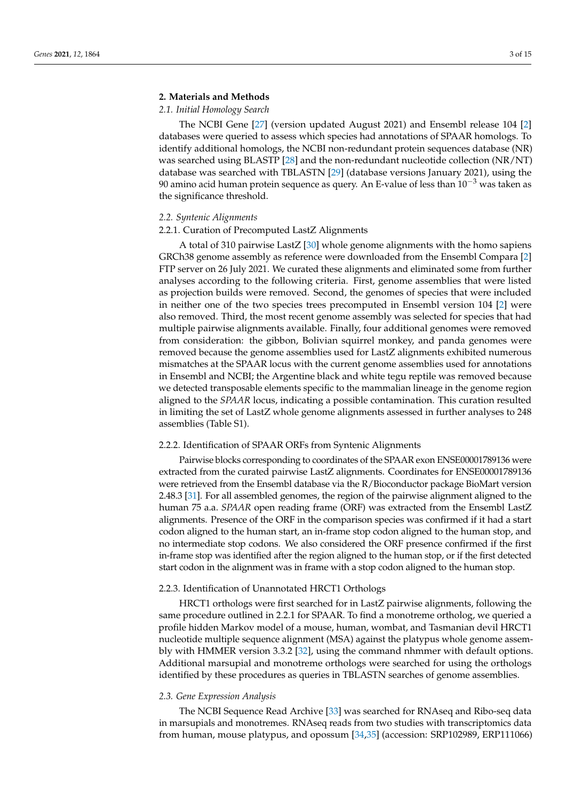# **2. Materials and Methods**

# <span id="page-2-0"></span>*2.1. Initial Homology Search*

The NCBI Gene [\[27\]](#page-13-8) (version updated August 2021) and Ensembl release 104 [\[2\]](#page-12-1) databases were queried to assess which species had annotations of SPAAR homologs. To identify additional homologs, the NCBI non-redundant protein sequences database (NR) was searched using BLASTP [\[28\]](#page-13-9) and the non-redundant nucleotide collection (NR/NT) database was searched with TBLASTN [\[29\]](#page-13-10) (database versions January 2021), using the 90 amino acid human protein sequence as query. An E-value of less than  $10^{-3}$  was taken as the significance threshold.

## <span id="page-2-1"></span>*2.2. Syntenic Alignments*

#### 2.2.1. Curation of Precomputed LastZ Alignments

A total of 310 pairwise LastZ [\[30\]](#page-13-11) whole genome alignments with the homo sapiens GRCh38 genome assembly as reference were downloaded from the Ensembl Compara [\[2\]](#page-12-1) FTP server on 26 July 2021. We curated these alignments and eliminated some from further analyses according to the following criteria. First, genome assemblies that were listed as projection builds were removed. Second, the genomes of species that were included in neither one of the two species trees precomputed in Ensembl version 104 [\[2\]](#page-12-1) were also removed. Third, the most recent genome assembly was selected for species that had multiple pairwise alignments available. Finally, four additional genomes were removed from consideration: the gibbon, Bolivian squirrel monkey, and panda genomes were removed because the genome assemblies used for LastZ alignments exhibited numerous mismatches at the SPAAR locus with the current genome assemblies used for annotations in Ensembl and NCBI; the Argentine black and white tegu reptile was removed because we detected transposable elements specific to the mammalian lineage in the genome region aligned to the *SPAAR* locus, indicating a possible contamination. This curation resulted in limiting the set of LastZ whole genome alignments assessed in further analyses to 248 assemblies (Table S1).

# <span id="page-2-2"></span>2.2.2. Identification of SPAAR ORFs from Syntenic Alignments

Pairwise blocks corresponding to coordinates of the SPAAR exon ENSE00001789136 were extracted from the curated pairwise LastZ alignments. Coordinates for ENSE00001789136 were retrieved from the Ensembl database via the R/Bioconductor package BioMart version 2.48.3 [\[31\]](#page-13-12). For all assembled genomes, the region of the pairwise alignment aligned to the human 75 a.a. *SPAAR* open reading frame (ORF) was extracted from the Ensembl LastZ alignments. Presence of the ORF in the comparison species was confirmed if it had a start codon aligned to the human start, an in-frame stop codon aligned to the human stop, and no intermediate stop codons. We also considered the ORF presence confirmed if the first in-frame stop was identified after the region aligned to the human stop, or if the first detected start codon in the alignment was in frame with a stop codon aligned to the human stop.

# <span id="page-2-3"></span>2.2.3. Identification of Unannotated HRCT1 Orthologs

HRCT1 orthologs were first searched for in LastZ pairwise alignments, following the same procedure outlined in 2.2.1 for SPAAR. To find a monotreme ortholog, we queried a profile hidden Markov model of a mouse, human, wombat, and Tasmanian devil HRCT1 nucleotide multiple sequence alignment (MSA) against the platypus whole genome assembly with HMMER version 3.3.2 [\[32\]](#page-13-13), using the command nhmmer with default options. Additional marsupial and monotreme orthologs were searched for using the orthologs identified by these procedures as queries in TBLASTN searches of genome assemblies.

# <span id="page-2-4"></span>*2.3. Gene Expression Analysis*

The NCBI Sequence Read Archive [\[33\]](#page-13-14) was searched for RNAseq and Ribo-seq data in marsupials and monotremes. RNAseq reads from two studies with transcriptomics data from human, mouse platypus, and opossum [\[34](#page-13-15)[,35\]](#page-13-16) (accession: SRP102989, ERP111066)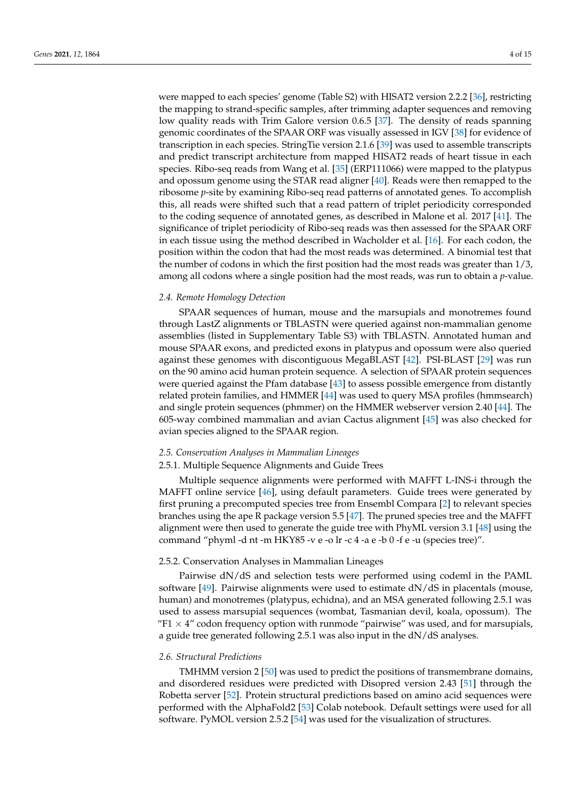were mapped to each species' genome (Table S2) with HISAT2 version 2.2.2 [\[36\]](#page-13-17), restricting the mapping to strand-specific samples, after trimming adapter sequences and removing low quality reads with Trim Galore version 0.6.5 [\[37\]](#page-13-18). The density of reads spanning genomic coordinates of the SPAAR ORF was visually assessed in IGV [\[38\]](#page-13-19) for evidence of transcription in each species. StringTie version 2.1.6 [\[39\]](#page-13-20) was used to assemble transcripts and predict transcript architecture from mapped HISAT2 reads of heart tissue in each species. Ribo-seq reads from Wang et al. [\[35\]](#page-13-16) (ERP111066) were mapped to the platypus and opossum genome using the STAR read aligner [\[40\]](#page-13-21). Reads were then remapped to the ribosome *p*-site by examining Ribo-seq read patterns of annotated genes. To accomplish this, all reads were shifted such that a read pattern of triplet periodicity corresponded to the coding sequence of annotated genes, as described in Malone et al. 2017 [\[41\]](#page-13-22). The significance of triplet periodicity of Ribo-seq reads was then assessed for the SPAAR ORF in each tissue using the method described in Wacholder et al. [\[16\]](#page-12-10). For each codon, the position within the codon that had the most reads was determined. A binomial test that the number of codons in which the first position had the most reads was greater than 1/3, among all codons where a single position had the most reads, was run to obtain a *p*-value.

# <span id="page-3-1"></span>*2.4. Remote Homology Detection*

SPAAR sequences of human, mouse and the marsupials and monotremes found through LastZ alignments or TBLASTN were queried against non-mammalian genome assemblies (listed in Supplementary Table S3) with TBLASTN. Annotated human and mouse SPAAR exons, and predicted exons in platypus and opossum were also queried against these genomes with discontiguous MegaBLAST [\[42\]](#page-13-23). PSI-BLAST [\[29\]](#page-13-10) was run on the 90 amino acid human protein sequence. A selection of SPAAR protein sequences were queried against the Pfam database [\[43\]](#page-13-24) to assess possible emergence from distantly related protein families, and HMMER [\[44\]](#page-13-25) was used to query MSA profiles (hmmsearch) and single protein sequences (phmmer) on the HMMER webserver version 2.40 [\[44\]](#page-13-25). The 605-way combined mammalian and avian Cactus alignment [\[45\]](#page-13-26) was also checked for avian species aligned to the SPAAR region.

## <span id="page-3-2"></span>*2.5. Conservation Analyses in Mammalian Lineages*

#### <span id="page-3-0"></span>2.5.1. Multiple Sequence Alignments and Guide Trees

Multiple sequence alignments were performed with MAFFT L-INS-i through the MAFFT online service [\[46\]](#page-13-27), using default parameters. Guide trees were generated by first pruning a precomputed species tree from Ensembl Compara [\[2\]](#page-12-1) to relevant species branches using the ape R package version 5.5 [\[47\]](#page-13-28). The pruned species tree and the MAFFT alignment were then used to generate the guide tree with PhyML version 3.1 [\[48\]](#page-14-0) using the command "phyml -d nt -m HKY85 -v e -o lr -c 4 -a e -b 0 -f e -u (species tree)".

## 2.5.2. Conservation Analyses in Mammalian Lineages

Pairwise dN/dS and selection tests were performed using codeml in the PAML software  $[49]$ . Pairwise alignments were used to estimate  $dN/dS$  in placentals (mouse, human) and monotremes (platypus, echidna), and an MSA generated following 2.5.1 was used to assess marsupial sequences (wombat, Tasmanian devil, koala, opossum). The "F1  $\times$  4" codon frequency option with runmode "pairwise" was used, and for marsupials, a guide tree generated following 2.5.1 was also input in the dN/dS analyses.

#### <span id="page-3-3"></span>*2.6. Structural Predictions*

TMHMM version 2 [\[50\]](#page-14-2) was used to predict the positions of transmembrane domains, and disordered residues were predicted with Disopred version 2.43 [\[51\]](#page-14-3) through the Robetta server [\[52\]](#page-14-4). Protein structural predictions based on amino acid sequences were performed with the AlphaFold2 [\[53\]](#page-14-5) Colab notebook. Default settings were used for all software. PyMOL version 2.5.2 [\[54\]](#page-14-6) was used for the visualization of structures.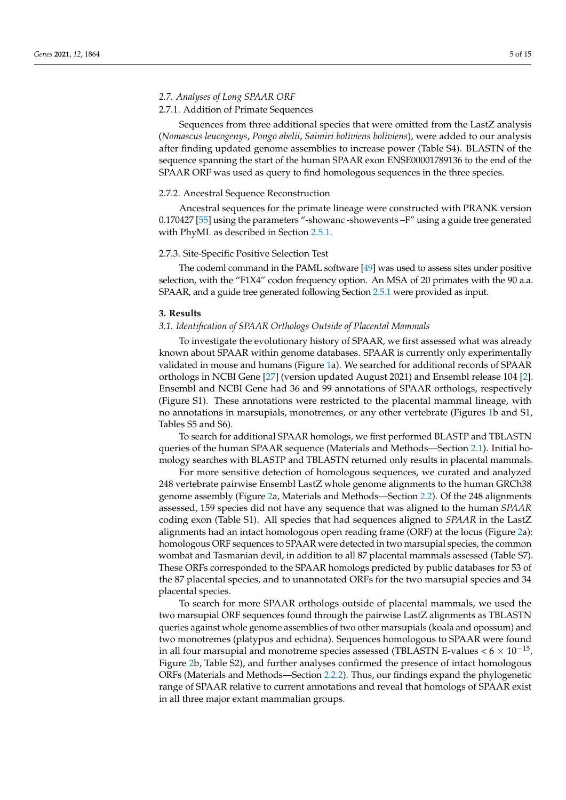# *2.7. Analyses of Long SPAAR ORF*

# 2.7.1. Addition of Primate Sequences

Sequences from three additional species that were omitted from the LastZ analysis (*Nomascus leucogenys*, *Pongo abelii*, *Saimiri boliviens boliviens*), were added to our analysis after finding updated genome assemblies to increase power (Table S4). BLASTN of the sequence spanning the start of the human SPAAR exon ENSE00001789136 to the end of the SPAAR ORF was used as query to find homologous sequences in the three species.

### <span id="page-4-0"></span>2.7.2. Ancestral Sequence Reconstruction

Ancestral sequences for the primate lineage were constructed with PRANK version 0.170427 [\[55\]](#page-14-7) using the parameters "-showanc -showevents –F" using a guide tree generated with PhyML as described in Section [2.5.1.](#page-3-0)

# <span id="page-4-1"></span>2.7.3. Site-Specific Positive Selection Test

The codeml command in the PAML software [\[49\]](#page-14-1) was used to assess sites under positive selection, with the "F1X4" codon frequency option. An MSA of 20 primates with the 90 a.a. SPAAR, and a guide tree generated following Section [2.5.1](#page-3-0) were provided as input.

#### **3. Results**

# *3.1. Identification of SPAAR Orthologs Outside of Placental Mammals*

To investigate the evolutionary history of SPAAR, we first assessed what was already known about SPAAR within genome databases. SPAAR is currently only experimentally validated in mouse and humans (Figure [1a](#page-1-0)). We searched for additional records of SPAAR orthologs in NCBI Gene [\[27\]](#page-13-8) (version updated August 2021) and Ensembl release 104 [\[2\]](#page-12-1). Ensembl and NCBI Gene had 36 and 99 annotations of SPAAR orthologs, respectively (Figure S1). These annotations were restricted to the placental mammal lineage, with no annotations in marsupials, monotremes, or any other vertebrate (Figures [1b](#page-1-0) and S1, Tables S5 and S6).

To search for additional SPAAR homologs, we first performed BLASTP and TBLASTN queries of the human SPAAR sequence (Materials and Methods—Section [2.1\)](#page-2-0). Initial homology searches with BLASTP and TBLASTN returned only results in placental mammals.

For more sensitive detection of homologous sequences, we curated and analyzed 248 vertebrate pairwise Ensembl LastZ whole genome alignments to the human GRCh38 genome assembly (Figure [2a](#page-5-0), Materials and Methods—Section [2.2\)](#page-2-1). Of the 248 alignments assessed, 159 species did not have any sequence that was aligned to the human *SPAAR* coding exon (Table S1). All species that had sequences aligned to *SPAAR* in the LastZ alignments had an intact homologous open reading frame (ORF) at the locus (Figure [2a](#page-5-0)): homologous ORF sequences to SPAAR were detected in two marsupial species, the common wombat and Tasmanian devil, in addition to all 87 placental mammals assessed (Table S7). These ORFs corresponded to the SPAAR homologs predicted by public databases for 53 of the 87 placental species, and to unannotated ORFs for the two marsupial species and 34 placental species.

To search for more SPAAR orthologs outside of placental mammals, we used the two marsupial ORF sequences found through the pairwise LastZ alignments as TBLASTN queries against whole genome assemblies of two other marsupials (koala and opossum) and two monotremes (platypus and echidna). Sequences homologous to SPAAR were found in all four marsupial and monotreme species assessed (TBLASTN E-values  $< 6 \times 10^{-15}$ , Figure [2b](#page-5-0), Table S2), and further analyses confirmed the presence of intact homologous ORFs (Materials and Methods—Section [2.2.2\)](#page-2-2). Thus, our findings expand the phylogenetic range of SPAAR relative to current annotations and reveal that homologs of SPAAR exist in all three major extant mammalian groups.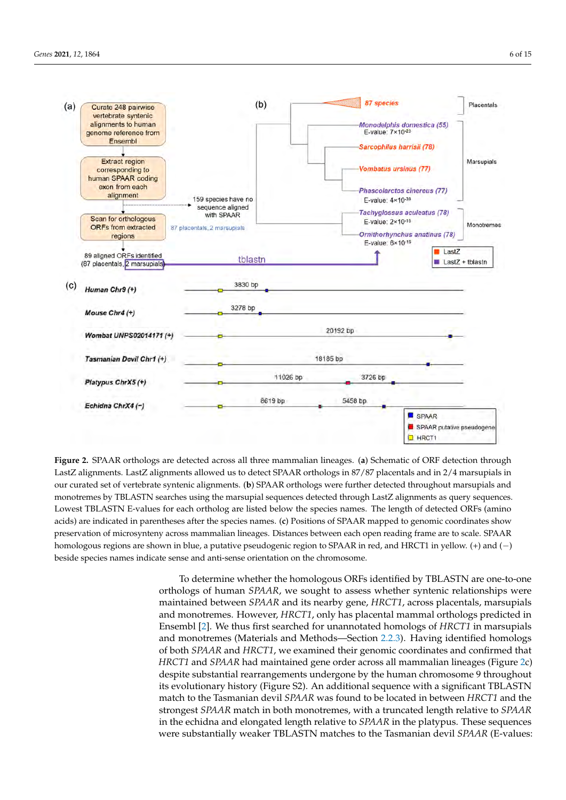<span id="page-5-0"></span>

Figure 2. SPAAR orthologs are detected across all three mammalian lineages. (a) Schematic of ORF detection through LastZ alignments. LastZ alignments allowed us to detect SPAAR orthologs in 87/87 placentals and in 2/4 marsupials in our curated set of vertebrate syntenic alignments. (**b**) SPAAR orthologs were further detected throughout marsupials and our curated set of vertebrate syntenic alignments. (b) SPAAR orthologs were further detected throughout marsupials and monotremes by TBLASTN searches using the marsupial sequences detected through LastZ alignments as query sequences. Lowest TBLASTN E-values for each ortholog are listed below the species names. The length of detected ORFs (amino acids) are indicated in parentheses after the species names. (c) Positions of SPAAR mapped to genomic coordinates show preservation of microsynteny across mammalian lineages. Distances between each open reading frame are to scale. SPAAR homologous regions are shown in blue, a putative pseudogenic region to SPAAR in red, and HRCT1 in yellow. (+) and (−) beside species names indicate sense and anti-sense orientation on the chromosome.

> To determine whether the homologous ORFs identified by TBLASTN are one-to-one orthologs of human *SPAAR*, we sought to assess whether syntenic relationships were maintained between *SPAAR* and its nearby gene, *HRCT1*, across placentals, marsupials and monotremes. However, *HRCT1*, only has placental mammal orthologs predicted in Ensembl [\[2\]](#page-12-1). We thus first searched for unannotated homologs of *HRCT1* in marsupials and monotremes (Materials and Methods—Section [2.2.3\)](#page-2-3). Having identified homologs of both *SPAAR* and *HRCT1*, we examined their genomic coordinates and confirmed that *HRCT1* and *SPAAR* had maintained gene order across all mammalian lineages (Figure [2c](#page-5-0)) despite substantial rearrangements undergone by the human chromosome 9 throughout its evolutionary history (Figure S2). An additional sequence with a significant TBLASTN match to the Tasmanian devil *SPAAR* was found to be located in between *HRCT1* and the strongest *SPAAR* match in both monotremes, with a truncated length relative to *SPAAR* in the echidna and elongated length relative to *SPAAR* in the platypus. These sequences were substantially weaker TBLASTN matches to the Tasmanian devil *SPAAR* (E-values: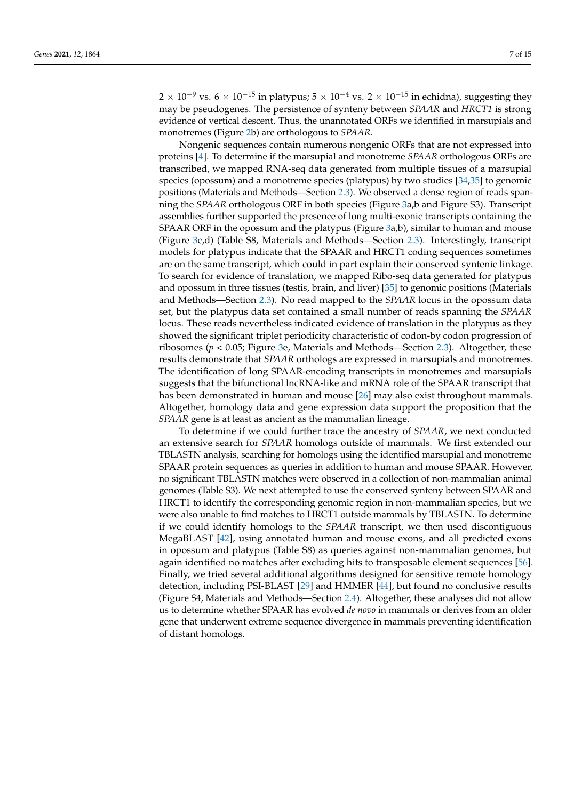$2 \times 10^{-9}$  vs.  $6 \times 10^{-15}$  in platypus;  $5 \times 10^{-4}$  vs.  $2 \times 10^{-15}$  in echidna), suggesting they may be pseudogenes. The persistence of synteny between *SPAAR* and *HRCT1* is strong evidence of vertical descent. Thus, the unannotated ORFs we identified in marsupials and monotremes (Figure [2b](#page-5-0)) are orthologous to *SPAAR.*

Nongenic sequences contain numerous nongenic ORFs that are not expressed into proteins [\[4\]](#page-12-3). To determine if the marsupial and monotreme *SPAAR* orthologous ORFs are transcribed, we mapped RNA-seq data generated from multiple tissues of a marsupial species (opossum) and a monotreme species (platypus) by two studies [\[34,](#page-13-15)[35\]](#page-13-16) to genomic positions (Materials and Methods—Section [2.3\)](#page-2-4). We observed a dense region of reads spanning the *SPAAR* orthologous ORF in both species (Figure [3a](#page-7-0),b and Figure S3). Transcript assemblies further supported the presence of long multi-exonic transcripts containing the SPAAR ORF in the opossum and the platypus (Figure [3a](#page-7-0),b), similar to human and mouse (Figure [3c](#page-7-0),d) (Table S8, Materials and Methods—Section [2.3\)](#page-2-4). Interestingly, transcript models for platypus indicate that the SPAAR and HRCT1 coding sequences sometimes are on the same transcript, which could in part explain their conserved syntenic linkage. To search for evidence of translation, we mapped Ribo-seq data generated for platypus and opossum in three tissues (testis, brain, and liver) [\[35\]](#page-13-16) to genomic positions (Materials and Methods—Section [2.3\)](#page-2-4). No read mapped to the *SPAAR* locus in the opossum data set, but the platypus data set contained a small number of reads spanning the *SPAAR* locus. These reads nevertheless indicated evidence of translation in the platypus as they showed the significant triplet periodicity characteristic of codon-by codon progression of ribosomes (*p* < 0.05; Figure [3e](#page-7-0), Materials and Methods—Section [2.3\)](#page-2-4). Altogether, these results demonstrate that *SPAAR* orthologs are expressed in marsupials and monotremes. The identification of long SPAAR-encoding transcripts in monotremes and marsupials suggests that the bifunctional lncRNA-like and mRNA role of the SPAAR transcript that has been demonstrated in human and mouse [\[26\]](#page-13-7) may also exist throughout mammals. Altogether, homology data and gene expression data support the proposition that the *SPAAR* gene is at least as ancient as the mammalian lineage.

To determine if we could further trace the ancestry of *SPAAR*, we next conducted an extensive search for *SPAAR* homologs outside of mammals. We first extended our TBLASTN analysis, searching for homologs using the identified marsupial and monotreme SPAAR protein sequences as queries in addition to human and mouse SPAAR. However, no significant TBLASTN matches were observed in a collection of non-mammalian animal genomes (Table S3). We next attempted to use the conserved synteny between SPAAR and HRCT1 to identify the corresponding genomic region in non-mammalian species, but we were also unable to find matches to HRCT1 outside mammals by TBLASTN. To determine if we could identify homologs to the *SPAAR* transcript, we then used discontiguous MegaBLAST [\[42\]](#page-13-23), using annotated human and mouse exons, and all predicted exons in opossum and platypus (Table S8) as queries against non-mammalian genomes, but again identified no matches after excluding hits to transposable element sequences [\[56\]](#page-14-8). Finally, we tried several additional algorithms designed for sensitive remote homology detection, including PSI-BLAST [\[29\]](#page-13-10) and HMMER [\[44\]](#page-13-25), but found no conclusive results (Figure S4, Materials and Methods—Section [2.4\)](#page-3-1). Altogether, these analyses did not allow us to determine whether SPAAR has evolved *de novo* in mammals or derives from an older gene that underwent extreme sequence divergence in mammals preventing identification of distant homologs.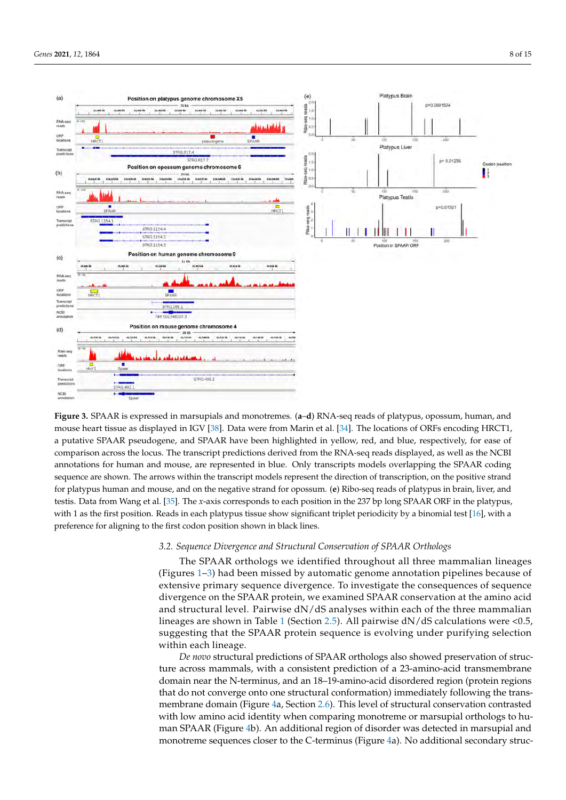<span id="page-7-0"></span>

Figure 3. SPAAR is expressed in marsupials and monotremes. (a-d) RNA-seq reads of platypus, opossum, human, and  $\frac{1}{2}$   $\frac{1}{2}$ . Data were from Marin et al.  $\frac{1}{2}$ .  $\frac{1}{2}$ .  $\frac{1}{2}$ mouse heart tissue as displayed in IGV [\[38\]](#page-13-19). Data were from Marin et al. [\[34\]](#page-13-15). The locations of ORFs encoding HRCT1, a putative SPAAR pseudogene, and SPAAR have been highlighted in yellow, red, and blue, respectively, for ease of comparison across the locus. The transcript predictions derived from the RNA-seq reads displayed, as well as the NCBI annotations for human and mouse, are represented in blue. Only transcripts models overlapping the SPAAR coding strand for platypus human and mouse, and on the negative strand for opossum. (**e**) Ribo-seq reads of platypus in brain, sequence are shown. The arrows within the transcript models represent the direction of transcription, on the positive strand for platypus human and mouse, and on the negative strand for opossum. (**e**) Ribo-seq reads of platypus in brain, liver, and testis. Data from Wang et al. [35]. The *x*-axis corresponds to each position in the 237 bp long SPAAR ORF in the platypus, preference for aligning to the first codon position shown in black lines. with 1 as the first position. Reads in each platypus tissue show significant triplet periodicity by a binomial test [\[16\]](#page-12-10), with a

# 3.2. Sequence Divergence and Structural Conservation of SPAAR Orthologs

The SPAAR orthologs we identified throughout all three mammalian lineages divergence on the SPAAR protein, we examined SPAAR conservation at the amino acid (Figures [1–](#page-1-0)[3\)](#page-7-0) had been missed by automatic genome annotation pipelines because of  $\frac{1}{\sqrt{2}}$  and structure  $\frac{1}{\sqrt{2}}$  and  $\frac{1}{\sqrt{2}}$  and  $\frac{1}{\sqrt{2}}$  and  $\frac{1}{\sqrt{2}}$  and  $\frac{1}{\sqrt{2}}$  and  $\frac{1}{\sqrt{2}}$  and  $\frac{1}{\sqrt{2}}$  and  $\frac{1}{\sqrt{2}}$  and  $\frac{1}{\sqrt{2}}$  and  $\frac{1}{\sqrt{2}}$  and  $\frac{1}{\sqrt{2}}$  and  $\frac{1}{\$ extensive primary sequence divergence. To investigate the consequences of sequence divergence on the SPAAR protein, we examined SPAAR conservation at the amino acid and structural level. Pairwise d $\mathrm{N}/\mathrm{dS}$  analyses within each of the three mammalian lineages are shown in Table 1 (Section 2.5). All pairwise dN/dS calculations were <0.5, suggesting that the SPAAR protein sequence is evolving under purifying selection within each lineage.  $\blacksquare$ 

De novo structural predictions of SPAAR orthologs also showed preservation of structure across mammals, with a consistent prediction of a 23-amino-acid transmembrane domain near the N-terminus, and an 18–19-amino-acid disordered region (protein regions that do not converge onto one structural conformation) immediately following the transmembrane domain (Figure [4a](#page-8-1), Section [2.6\)](#page-3-3). This level of structural conservation contrasted with low amino acid identity when comparing monotreme or marsupial orthologs to human SPAAR (Figure [4b](#page-8-1)). An additional region of disorder was detected in marsupial and monotreme sequences closer to the C-terminus (Figure [4a](#page-8-1)). No additional secondary struc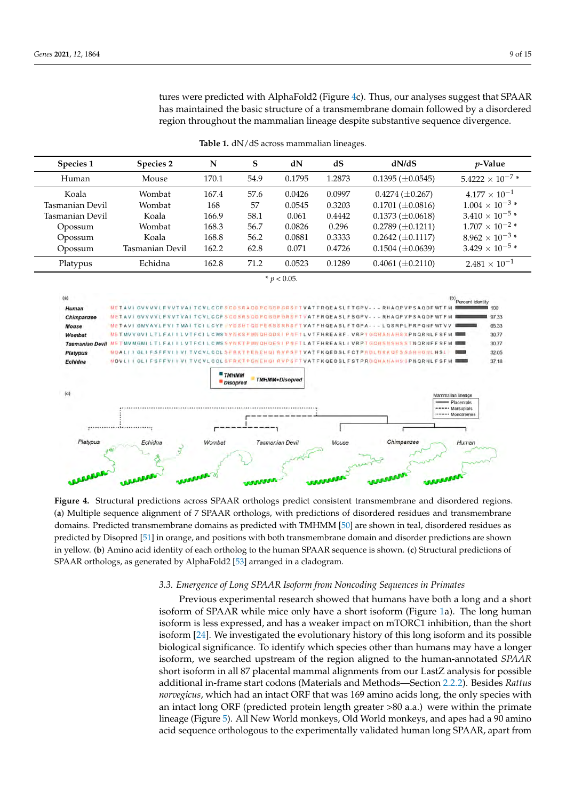tures were predicted with AlphaFold2 (Figure [4c](#page-8-1)). Thus, our analyses suggest that SPAAR three were predicted with replacements (rights and your managers enggles had been reduced by a disordered has maintained the basic structure of a transmembrane domain followed by a disordered and manufalmed the basic structure of a transmembrane domain followed by a disorce region throughout the mammalian lineage despite substantive sequence divergence. domain followed by a discrete region to discuss the magnetic temperature  $\alpha$ 

<span id="page-8-1"></span><span id="page-8-0"></span>

**Table 1.** dN/dS across mammalian lineages. substantive sequence divergence.

**Figure 4.** Structural predictions across SPAAR orthologs predict consistent transmembrane and disordered regions. (**a**) (a) Multiple sequence alignment of 7 SPAAR orthologs, with predictions of disordered residues and transmembrane domains. Predicted transmembrane domains as predicted with TMHMM [\[50\]](#page-14-2) are shown in teal, disordered residues as predicted by Disopred [51] i[n ora](#page-14-3)nge, and positions with both transmembrane domain and disorder predictions are shown in yellow. (b) Amino acid identity of each ortholog to the human SPAAR sequence is shown. (c) Structural predictions of orthologs, as generated by AlphaFold2 [53] arranged in a cladogram. SPAAR orthologs, as generated by AlphaFold2 [\[53\]](#page-14-5) arranged in a cladogram. **Figure 4.** Structural predictions across SPAAR orthologs predict consistent transmembrane and disordered regions.

# *3.3. Emergence of Long SPAAR Isoform from Noncoding Sequences in Primates* 3.3. Emergence of Long SPAAR Isoform from Noncoding Sequences in Primates

Previous experimental research showed that humans have both a long and a short isoform of SPAAR while mice only have a short isoform (Figure [1a](#page-1-0)). The long human isoform is less expressed, and has a weaker impact on mTORC1 inhibition, than the short isoform [24]. We investigated the evolutionary history of this long isoform and its possible biological significance. To identify which species other than humans may have a longer isoform, we searched upstream of the region aligned to the human-annotated *SPAAR* short isoform in all 87 placental mammal alignments from our LastZ analysis for possible additional in-frame start codons (Materials and Methods—Section [2.2.2\)](#page-2-2). Besides *Rattus norvegicus*, which had an intact ORF that was 169 amino acids long, the only species with an intact long ORF (predicted protein length greater >80 a.a.) were within the primate lineage (Figure [5\)](#page-9-0). All New World monkeys, Old World monkeys, and apes had a 90 amino acid sequence orthologous to the experimentally validated human long SPAAR, apart from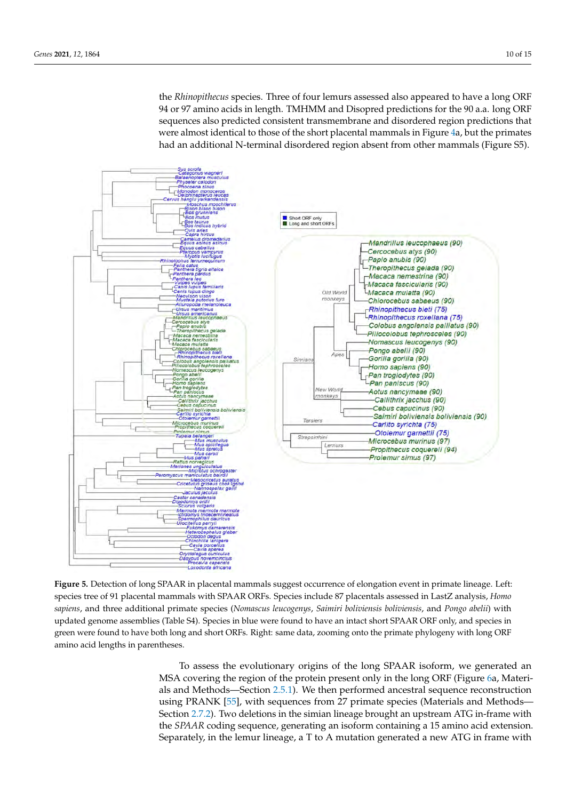the *Rhinopithecus* species. Three of four lemurs assessed also appeared to have a long ORF are *humpmens* species. There of four lemans assessed also appeared to have a long one of the 90 a.a. long ORF sequences also predicted consistent transmembrane and disordered region predictions that bequences also predicted consistent mansimelihed and disordered region predictions that were almost identical to those of the short placental mammals in Figure [4a](#page-8-1), but the primates had an additional N-terminal disordered region absent from other mammals (Figure S5). ma mamalas (Figure S

lineage (Figure 5). All New World monkeys, Old World monkeys, and apes had a 90

<span id="page-9-0"></span>

Figure 5. Detection of long SPAAR in placental mammals suggest occurrence of elongation event in primate lineage. Left: species tree of 91 placental mammals with SPAAR ORFs. Species include 87 placentals assessed in LastZ analysis, Homo sapiens, and three additional primate species (Nomascus leucogenys, Saimiri boliviensis boliviensis, and Pongo abelii) with updated genome assemblies (Table S4). Species in blue were found to have an intact short SPAAR ORF only, and species in species were found to have both long and short ORFs. Right: same data, zooming onto the primate phylogeny with long ORFs. with long ORF amino acid lengths in parentheses. green were found to have both long and short ORFs. Right: same data, zooming onto the primate phylogeny with long ORF amino acid lengths in parentheses.

> To assess the evolutionary origins of the long SPAAR isoform, we generated an MSA covering the region of the protein present only in the long ORF (Figure [6a](#page-10-0), Materials and Methods—Section [2.5.1\)](#page-3-0). We then performed ancestral sequence reconstruction using PRANK [\[55\]](#page-14-7), with sequences from 27 primate species (Materials and Methods-Section [2.7.2\)](#page-4-0). Two deletions in the simian lineage brought an upstream ATG in-frame with the *SPAAR* coding sequence, generating an isoform containing a 15 amino acid extension. Separately, in the lemur lineage, a T to A mutation generated a new ATG in frame with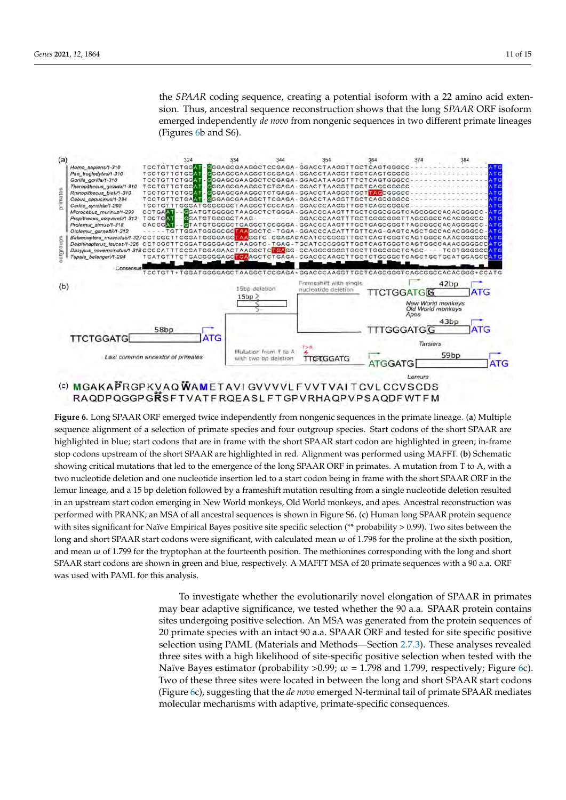the SPAAR coding sequence, creating a potential isoform with a 22 amino acid extension. Thus, ancestral sequence reconstruction shows that the long *SPAAR* ORF isoform emerged independently *de novo* from nongenic sequences in two different primate lineages (Figures 6b and S6).

<span id="page-10-0"></span>

Figure 6. Long SPAAR ORF emerged twice independently from nongenic sequences in the primate lineage. (a) Multiple sequence alignment of a selection of primate species and four outgroup species. Start codons of the short SPAAR are highlighted in blue; start codons that are in frame with the short SPAAR start codon are highlighted in green; in-frame stop codons upstream of the short SPAAR are highlighted in red. Alignment was performed using MAFFT. (b) Schematic showing critical mutations that led to the emergence of the long SPAAR ORF in primates. A mutation from T to A, with a two nucleotide deletion and one nucleotide insertion led to a start codon being in frame with the short SPAAR ORF in the short SPAAR ORF in the short SPAAR ORF in the short SPAAR ORF in the short SPAAR ORF in the short SPA two nucleotide deletion and one nucleotide insertion led to a start codon being in frame with the short SPAAR ORF in the<br>. lemur lineage, and a 15 bp deletion followed by a frameshift mutation resulting from a single nucleotide deletion resulted in an upstream start codon emerging in New World monkeys, Old World monkeys, and apes. Ancestral reconstruction was performed with PRANK; an MSA of all ancestral sequences is shown in Figure S6. (c) Human long SPAAR protein sequence performed with PRANK; an MSA of all ancestral sequences is shown in Figure S6. (c) Human long SPAAR protein sequence<br>with sites significant for Naïve Empirical Bayes positive site specific selection (\*\* probability > 0.99) long and short SPAAR start codons were significant, with calculated mean  $\omega$  of 1.798 for the proline at the sixth position, and mean  $\omega$  of 1.799 for the tryptophan at the fourteenth position. The methionines corresponding with the long and short SPAAR start codons are shown in green and blue, respectively. A MAFFT MSA of 20 primate sequences with a 90 a.a. ORF was used with PAML for this analysis.

> To investigate whether the evolutionarily novel elongation of SPAAR in primates may bear adaptive significance, we tested whether the 90 a.a. SPAAR protein contains sites undergoing positive selection. An MSA was generated from the protein sequences of 20 primate species with an intact 90 a.a. SPAAR ORF and tested for site specific positive selection using PAML (Materials and Methods—Section [2.7.3\)](#page-4-1). These analyses revealed three sites with a high likelihood of site-specific positive selection when tested with the Naïve Bayes estimator (probability >0.99;  $\omega$  = 1.798 and 1.799, respectively; Figure [6c](#page-10-0)). Two of these three sites were located in between the long and short SPAAR start codons (Figure [6c](#page-10-0)), suggesting that the *de novo* emerged N-terminal tail of primate SPAAR mediates molecular mechanisms with adaptive, primate-specific consequences.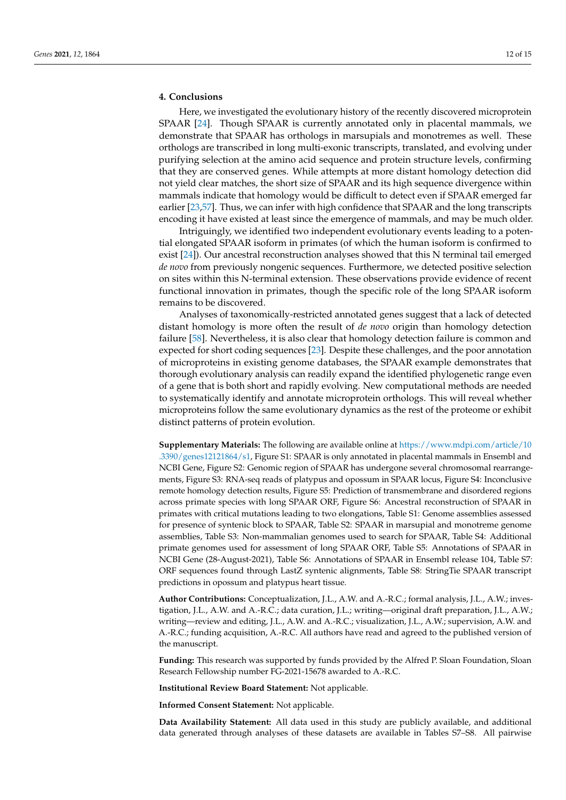# **4. Conclusions**

Here, we investigated the evolutionary history of the recently discovered microprotein SPAAR [\[24\]](#page-13-5). Though SPAAR is currently annotated only in placental mammals, we demonstrate that SPAAR has orthologs in marsupials and monotremes as well. These orthologs are transcribed in long multi-exonic transcripts, translated, and evolving under purifying selection at the amino acid sequence and protein structure levels, confirming that they are conserved genes. While attempts at more distant homology detection did not yield clear matches, the short size of SPAAR and its high sequence divergence within mammals indicate that homology would be difficult to detect even if SPAAR emerged far earlier [\[23,](#page-13-4)[57\]](#page-14-9). Thus, we can infer with high confidence that SPAAR and the long transcripts encoding it have existed at least since the emergence of mammals, and may be much older.

Intriguingly, we identified two independent evolutionary events leading to a potential elongated SPAAR isoform in primates (of which the human isoform is confirmed to exist [\[24\]](#page-13-5)). Our ancestral reconstruction analyses showed that this N terminal tail emerged *de novo* from previously nongenic sequences. Furthermore, we detected positive selection on sites within this N-terminal extension. These observations provide evidence of recent functional innovation in primates, though the specific role of the long SPAAR isoform remains to be discovered.

Analyses of taxonomically-restricted annotated genes suggest that a lack of detected distant homology is more often the result of *de novo* origin than homology detection failure [\[58\]](#page-14-10). Nevertheless, it is also clear that homology detection failure is common and expected for short coding sequences [\[23\]](#page-13-4). Despite these challenges, and the poor annotation of microproteins in existing genome databases, the SPAAR example demonstrates that thorough evolutionary analysis can readily expand the identified phylogenetic range even of a gene that is both short and rapidly evolving. New computational methods are needed to systematically identify and annotate microprotein orthologs. This will reveal whether microproteins follow the same evolutionary dynamics as the rest of the proteome or exhibit distinct patterns of protein evolution.

**Supplementary Materials:** The following are available online at [https://www.mdpi.com/article/10](https://www.mdpi.com/article/10.3390/genes12121864/s1) [.3390/genes12121864/s1,](https://www.mdpi.com/article/10.3390/genes12121864/s1) Figure S1: SPAAR is only annotated in placental mammals in Ensembl and NCBI Gene, Figure S2: Genomic region of SPAAR has undergone several chromosomal rearrangements, Figure S3: RNA-seq reads of platypus and opossum in SPAAR locus, Figure S4: Inconclusive remote homology detection results, Figure S5: Prediction of transmembrane and disordered regions across primate species with long SPAAR ORF, Figure S6: Ancestral reconstruction of SPAAR in primates with critical mutations leading to two elongations, Table S1: Genome assemblies assessed for presence of syntenic block to SPAAR, Table S2: SPAAR in marsupial and monotreme genome assemblies, Table S3: Non-mammalian genomes used to search for SPAAR, Table S4: Additional primate genomes used for assessment of long SPAAR ORF, Table S5: Annotations of SPAAR in NCBI Gene (28-August-2021), Table S6: Annotations of SPAAR in Ensembl release 104, Table S7: ORF sequences found through LastZ syntenic alignments, Table S8: StringTie SPAAR transcript predictions in opossum and platypus heart tissue.

**Author Contributions:** Conceptualization, J.L., A.W. and A.-R.C.; formal analysis, J.L., A.W.; investigation, J.L., A.W. and A.-R.C.; data curation, J.L.; writing—original draft preparation, J.L., A.W.; writing—review and editing, J.L., A.W. and A.-R.C.; visualization, J.L., A.W.; supervision, A.W. and A.-R.C.; funding acquisition, A.-R.C. All authors have read and agreed to the published version of the manuscript.

**Funding:** This research was supported by funds provided by the Alfred P. Sloan Foundation, Sloan Research Fellowship number FG-2021-15678 awarded to A.-R.C.

**Institutional Review Board Statement:** Not applicable.

**Informed Consent Statement:** Not applicable.

**Data Availability Statement:** All data used in this study are publicly available, and additional data generated through analyses of these datasets are available in Tables S7–S8. All pairwise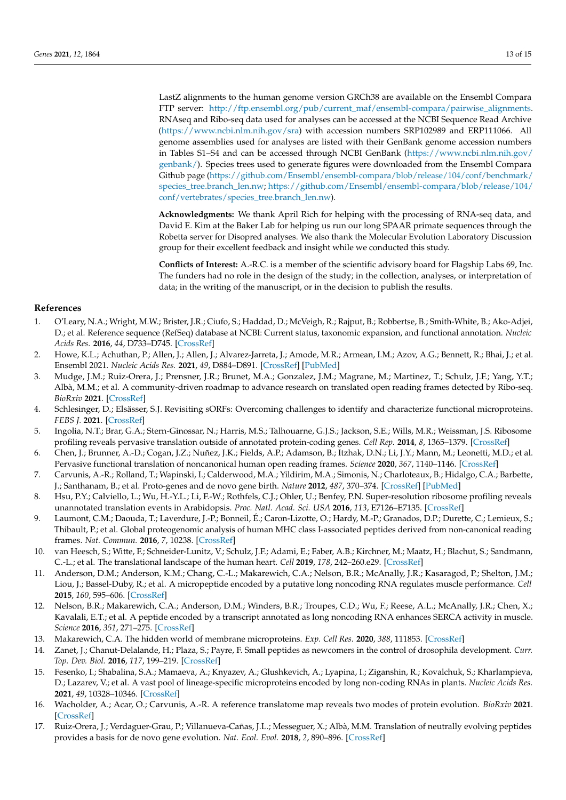LastZ alignments to the human genome version GRCh38 are available on the Ensembl Compara FTP server: [http://ftp.ensembl.org/pub/current\\_maf/ensembl-compara/pairwise\\_alignments.](http://ftp.ensembl.org/pub/current_maf/ensembl-compara/pairwise_alignments) RNAseq and Ribo-seq data used for analyses can be accessed at the NCBI Sequence Read Archive [\(https://www.ncbi.nlm.nih.gov/sra\)](https://www.ncbi.nlm.nih.gov/sra) with accession numbers SRP102989 and ERP111066. All genome assemblies used for analyses are listed with their GenBank genome accession numbers in Tables S1–S4 and can be accessed through NCBI GenBank [\(https://www.ncbi.nlm.nih.gov/](https://www.ncbi.nlm.nih.gov/genbank/) [genbank/\)](https://www.ncbi.nlm.nih.gov/genbank/). Species trees used to generate figures were downloaded from the Ensembl Compara Github page [\(https://github.com/Ensembl/ensembl-compara/blob/release/104/conf/benchmark/](https://github.com/Ensembl/ensembl-compara/blob/release/104/conf/benchmark/species_tree.branch_len.nw) [species\\_tree.branch\\_len.nw;](https://github.com/Ensembl/ensembl-compara/blob/release/104/conf/benchmark/species_tree.branch_len.nw) [https://github.com/Ensembl/ensembl-compara/blob/release/104/](https://github.com/Ensembl/ensembl-compara/blob/release/104/conf/vertebrates/species_tree.branch_len.nw) [conf/vertebrates/species\\_tree.branch\\_len.nw\)](https://github.com/Ensembl/ensembl-compara/blob/release/104/conf/vertebrates/species_tree.branch_len.nw).

**Acknowledgments:** We thank April Rich for helping with the processing of RNA-seq data, and David E. Kim at the Baker Lab for helping us run our long SPAAR primate sequences through the Robetta server for Disopred analyses. We also thank the Molecular Evolution Laboratory Discussion group for their excellent feedback and insight while we conducted this study.

**Conflicts of Interest:** A.-R.C. is a member of the scientific advisory board for Flagship Labs 69, Inc. The funders had no role in the design of the study; in the collection, analyses, or interpretation of data; in the writing of the manuscript, or in the decision to publish the results.

## **References**

- <span id="page-12-0"></span>1. O'Leary, N.A.; Wright, M.W.; Brister, J.R.; Ciufo, S.; Haddad, D.; McVeigh, R.; Rajput, B.; Robbertse, B.; Smith-White, B.; Ako-Adjei, D.; et al. Reference sequence (RefSeq) database at NCBI: Current status, taxonomic expansion, and functional annotation. *Nucleic Acids Res.* **2016**, *44*, D733–D745. [\[CrossRef\]](http://doi.org/10.1093/nar/gkv1189)
- <span id="page-12-1"></span>2. Howe, K.L.; Achuthan, P.; Allen, J.; Allen, J.; Alvarez-Jarreta, J.; Amode, M.R.; Armean, I.M.; Azov, A.G.; Bennett, R.; Bhai, J.; et al. Ensembl 2021. *Nucleic Acids Res.* **2021**, *49*, D884–D891. [\[CrossRef\]](http://doi.org/10.1093/nar/gkaa942) [\[PubMed\]](http://www.ncbi.nlm.nih.gov/pubmed/33137190)
- <span id="page-12-2"></span>3. Mudge, J.M.; Ruiz-Orera, J.; Prensner, J.R.; Brunet, M.A.; Gonzalez, J.M.; Magrane, M.; Martinez, T.; Schulz, J.F.; Yang, Y.T.; Albà, M.M.; et al. A community-driven roadmap to advance research on translated open reading frames detected by Ribo-seq. *BioRxiv* **2021**. [\[CrossRef\]](http://doi.org/10.1101/2021.06.10.447896)
- <span id="page-12-3"></span>4. Schlesinger, D.; Elsässer, S.J. Revisiting sORFs: Overcoming challenges to identify and characterize functional microproteins. *FEBS J.* **2021**. [\[CrossRef\]](http://doi.org/10.1111/febs.15769)
- 5. Ingolia, N.T.; Brar, G.A.; Stern-Ginossar, N.; Harris, M.S.; Talhouarne, G.J.S.; Jackson, S.E.; Wills, M.R.; Weissman, J.S. Ribosome profiling reveals pervasive translation outside of annotated protein-coding genes. *Cell Rep.* **2014**, *8*, 1365–1379. [\[CrossRef\]](http://doi.org/10.1016/j.celrep.2014.07.045)
- 6. Chen, J.; Brunner, A.-D.; Cogan, J.Z.; Nuñez, J.K.; Fields, A.P.; Adamson, B.; Itzhak, D.N.; Li, J.Y.; Mann, M.; Leonetti, M.D.; et al. Pervasive functional translation of noncanonical human open reading frames. *Science* **2020**, *367*, 1140–1146. [\[CrossRef\]](http://doi.org/10.1126/science.aay0262)
- <span id="page-12-7"></span>7. Carvunis, A.-R.; Rolland, T.; Wapinski, I.; Calderwood, M.A.; Yildirim, M.A.; Simonis, N.; Charloteaux, B.; Hidalgo, C.A.; Barbette, J.; Santhanam, B.; et al. Proto-genes and de novo gene birth. *Nature* **2012**, *487*, 370–374. [\[CrossRef\]](http://doi.org/10.1038/nature11184) [\[PubMed\]](http://www.ncbi.nlm.nih.gov/pubmed/22722833)
- 8. Hsu, P.Y.; Calviello, L.; Wu, H.-Y.L.; Li, F.-W.; Rothfels, C.J.; Ohler, U.; Benfey, P.N. Super-resolution ribosome profiling reveals unannotated translation events in Arabidopsis. *Proc. Natl. Acad. Sci. USA* **2016**, *113*, E7126–E7135. [\[CrossRef\]](http://doi.org/10.1073/pnas.1614788113)
- 9. Laumont, C.M.; Daouda, T.; Laverdure, J.-P.; Bonneil, É.; Caron-Lizotte, O.; Hardy, M.-P.; Granados, D.P.; Durette, C.; Lemieux, S.; Thibault, P.; et al. Global proteogenomic analysis of human MHC class I-associated peptides derived from non-canonical reading frames. *Nat. Commun.* **2016**, *7*, 10238. [\[CrossRef\]](http://doi.org/10.1038/ncomms10238)
- <span id="page-12-4"></span>10. van Heesch, S.; Witte, F.; Schneider-Lunitz, V.; Schulz, J.F.; Adami, E.; Faber, A.B.; Kirchner, M.; Maatz, H.; Blachut, S.; Sandmann, C.-L.; et al. The translational landscape of the human heart. *Cell* **2019**, *178*, 242–260.e29. [\[CrossRef\]](http://doi.org/10.1016/j.cell.2019.05.010)
- <span id="page-12-5"></span>11. Anderson, D.M.; Anderson, K.M.; Chang, C.-L.; Makarewich, C.A.; Nelson, B.R.; McAnally, J.R.; Kasaragod, P.; Shelton, J.M.; Liou, J.; Bassel-Duby, R.; et al. A micropeptide encoded by a putative long noncoding RNA regulates muscle performance. *Cell* **2015**, *160*, 595–606. [\[CrossRef\]](http://doi.org/10.1016/j.cell.2015.01.009)
- 12. Nelson, B.R.; Makarewich, C.A.; Anderson, D.M.; Winders, B.R.; Troupes, C.D.; Wu, F.; Reese, A.L.; McAnally, J.R.; Chen, X.; Kavalali, E.T.; et al. A peptide encoded by a transcript annotated as long noncoding RNA enhances SERCA activity in muscle. *Science* **2016**, *351*, 271–275. [\[CrossRef\]](http://doi.org/10.1126/science.aad4076)
- 13. Makarewich, C.A. The hidden world of membrane microproteins. *Exp. Cell Res.* **2020**, *388*, 111853. [\[CrossRef\]](http://doi.org/10.1016/j.yexcr.2020.111853)
- <span id="page-12-6"></span>14. Zanet, J.; Chanut-Delalande, H.; Plaza, S.; Payre, F. Small peptides as newcomers in the control of drosophila development. *Curr. Top. Dev. Biol.* **2016**, *117*, 199–219. [\[CrossRef\]](http://doi.org/10.1016/bs.ctdb.2015.11.004)
- <span id="page-12-8"></span>15. Fesenko, I.; Shabalina, S.A.; Mamaeva, A.; Knyazev, A.; Glushkevich, A.; Lyapina, I.; Ziganshin, R.; Kovalchuk, S.; Kharlampieva, D.; Lazarev, V.; et al. A vast pool of lineage-specific microproteins encoded by long non-coding RNAs in plants. *Nucleic Acids Res.* **2021**, *49*, 10328–10346. [\[CrossRef\]](http://doi.org/10.1093/nar/gkab816)
- <span id="page-12-10"></span>16. Wacholder, A.; Acar, O.; Carvunis, A.-R. A reference translatome map reveals two modes of protein evolution. *BioRxiv* **2021**. [\[CrossRef\]](http://doi.org/10.1101/2021.07.17.452746)
- <span id="page-12-9"></span>17. Ruiz-Orera, J.; Verdaguer-Grau, P.; Villanueva-Cañas, J.L.; Messeguer, X.; Albà, M.M. Translation of neutrally evolving peptides provides a basis for de novo gene evolution. *Nat. Ecol. Evol.* **2018**, *2*, 890–896. [\[CrossRef\]](http://doi.org/10.1038/s41559-018-0506-6)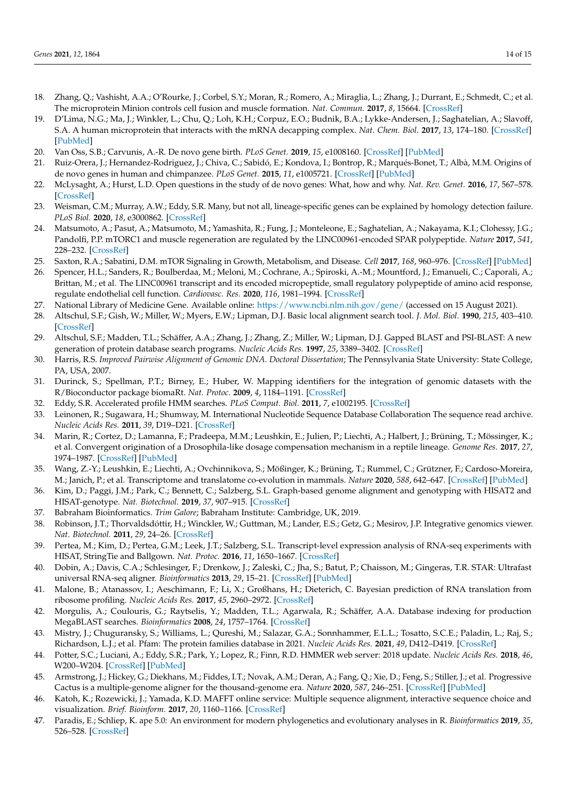- <span id="page-13-0"></span>18. Zhang, Q.; Vashisht, A.A.; O'Rourke, J.; Corbel, S.Y.; Moran, R.; Romero, A.; Miraglia, L.; Zhang, J.; Durrant, E.; Schmedt, C.; et al. The microprotein Minion controls cell fusion and muscle formation. *Nat. Commun.* **2017**, *8*, 15664. [\[CrossRef\]](http://doi.org/10.1038/ncomms15664)
- <span id="page-13-1"></span>19. D'Lima, N.G.; Ma, J.; Winkler, L.; Chu, Q.; Loh, K.H.; Corpuz, E.O.; Budnik, B.A.; Lykke-Andersen, J.; Saghatelian, A.; Slavoff, S.A. A human microprotein that interacts with the mRNA decapping complex. *Nat. Chem. Biol.* **2017**, *13*, 174–180. [\[CrossRef\]](http://doi.org/10.1038/nchembio.2249) [\[PubMed\]](http://www.ncbi.nlm.nih.gov/pubmed/27918561)
- <span id="page-13-2"></span>20. Van Oss, S.B.; Carvunis, A.-R. De novo gene birth. *PLoS Genet.* **2019**, *15*, e1008160. [\[CrossRef\]](http://doi.org/10.1371/journal.pgen.1008160) [\[PubMed\]](http://www.ncbi.nlm.nih.gov/pubmed/31120894)
- 21. Ruiz-Orera, J.; Hernandez-Rodriguez, J.; Chiva, C.; Sabidó, E.; Kondova, I.; Bontrop, R.; Marqués-Bonet, T.; Albà, M.M. Origins of de novo genes in human and chimpanzee. *PLoS Genet.* **2015**, *11*, e1005721. [\[CrossRef\]](http://doi.org/10.1371/journal.pgen.1005721) [\[PubMed\]](http://www.ncbi.nlm.nih.gov/pubmed/26720152)
- <span id="page-13-3"></span>22. McLysaght, A.; Hurst, L.D. Open questions in the study of de novo genes: What, how and why. *Nat. Rev. Genet.* **2016**, *17*, 567–578. [\[CrossRef\]](http://doi.org/10.1038/nrg.2016.78)
- <span id="page-13-4"></span>23. Weisman, C.M.; Murray, A.W.; Eddy, S.R. Many, but not all, lineage-specific genes can be explained by homology detection failure. *PLoS Biol.* **2020**, *18*, e3000862. [\[CrossRef\]](http://doi.org/10.1371/journal.pbio.3000862)
- <span id="page-13-5"></span>24. Matsumoto, A.; Pasut, A.; Matsumoto, M.; Yamashita, R.; Fung, J.; Monteleone, E.; Saghatelian, A.; Nakayama, K.I.; Clohessy, J.G.; Pandolfi, P.P. mTORC1 and muscle regeneration are regulated by the LINC00961-encoded SPAR polypeptide. *Nature* **2017**, *541*, 228–232. [\[CrossRef\]](http://doi.org/10.1038/nature21034)
- <span id="page-13-6"></span>25. Saxton, R.A.; Sabatini, D.M. mTOR Signaling in Growth, Metabolism, and Disease. *Cell* **2017**, *168*, 960–976. [\[CrossRef\]](http://doi.org/10.1016/j.cell.2017.02.004) [\[PubMed\]](http://www.ncbi.nlm.nih.gov/pubmed/28283069)
- <span id="page-13-7"></span>26. Spencer, H.L.; Sanders, R.; Boulberdaa, M.; Meloni, M.; Cochrane, A.; Spiroski, A.-M.; Mountford, J.; Emanueli, C.; Caporali, A.; Brittan, M.; et al. The LINC00961 transcript and its encoded micropeptide, small regulatory polypeptide of amino acid response, regulate endothelial cell function. *Cardiovasc. Res.* **2020**, *116*, 1981–1994. [\[CrossRef\]](http://doi.org/10.1093/cvr/cvaa008)
- <span id="page-13-8"></span>27. National Library of Medicine Gene. Available online: <https://www.ncbi.nlm.nih.gov/gene/> (accessed on 15 August 2021).
- <span id="page-13-9"></span>28. Altschul, S.F.; Gish, W.; Miller, W.; Myers, E.W.; Lipman, D.J. Basic local alignment search tool. *J. Mol. Biol.* **1990**, *215*, 403–410. [\[CrossRef\]](http://doi.org/10.1016/S0022-2836(05)80360-2)
- <span id="page-13-10"></span>29. Altschul, S.F.; Madden, T.L.; Schäffer, A.A.; Zhang, J.; Zhang, Z.; Miller, W.; Lipman, D.J. Gapped BLAST and PSI-BLAST: A new generation of protein database search programs. *Nucleic Acids Res.* **1997**, *25*, 3389–3402. [\[CrossRef\]](http://doi.org/10.1093/nar/25.17.3389)
- <span id="page-13-11"></span>30. Harris, R.S. *Improved Pairwise Alignment of Genomic DNA. Doctoral Dissertation*; The Pennsylvania State University: State College, PA, USA, 2007.
- <span id="page-13-12"></span>31. Durinck, S.; Spellman, P.T.; Birney, E.; Huber, W. Mapping identifiers for the integration of genomic datasets with the R/Bioconductor package biomaRt. *Nat. Protoc.* **2009**, *4*, 1184–1191. [\[CrossRef\]](http://doi.org/10.1038/nprot.2009.97)
- <span id="page-13-13"></span>32. Eddy, S.R. Accelerated profile HMM searches. *PLoS Comput. Biol.* **2011**, *7*, e1002195. [\[CrossRef\]](http://doi.org/10.1371/journal.pcbi.1002195)
- <span id="page-13-14"></span>33. Leinonen, R.; Sugawara, H.; Shumway, M. International Nucleotide Sequence Database Collaboration The sequence read archive. *Nucleic Acids Res.* **2011**, *39*, D19–D21. [\[CrossRef\]](http://doi.org/10.1093/nar/gkq1019)
- <span id="page-13-15"></span>34. Marin, R.; Cortez, D.; Lamanna, F.; Pradeepa, M.M.; Leushkin, E.; Julien, P.; Liechti, A.; Halbert, J.; Brüning, T.; Mössinger, K.; et al. Convergent origination of a Drosophila-like dosage compensation mechanism in a reptile lineage. *Genome Res.* **2017**, *27*, 1974–1987. [\[CrossRef\]](http://doi.org/10.1101/gr.223727.117) [\[PubMed\]](http://www.ncbi.nlm.nih.gov/pubmed/29133310)
- <span id="page-13-16"></span>35. Wang, Z.-Y.; Leushkin, E.; Liechti, A.; Ovchinnikova, S.; Mößinger, K.; Brüning, T.; Rummel, C.; Grützner, F.; Cardoso-Moreira, M.; Janich, P.; et al. Transcriptome and translatome co-evolution in mammals. *Nature* **2020**, *588*, 642–647. [\[CrossRef\]](http://doi.org/10.1038/s41586-020-2899-z) [\[PubMed\]](http://www.ncbi.nlm.nih.gov/pubmed/33177713)
- <span id="page-13-17"></span>36. Kim, D.; Paggi, J.M.; Park, C.; Bennett, C.; Salzberg, S.L. Graph-based genome alignment and genotyping with HISAT2 and HISAT-genotype. *Nat. Biotechnol.* **2019**, *37*, 907–915. [\[CrossRef\]](http://doi.org/10.1038/s41587-019-0201-4)
- <span id="page-13-18"></span>37. Babraham Bioinformatics. *Trim Galore*; Babraham Institute: Cambridge, UK, 2019.
- <span id="page-13-19"></span>38. Robinson, J.T.; Thorvaldsdóttir, H.; Winckler, W.; Guttman, M.; Lander, E.S.; Getz, G.; Mesirov, J.P. Integrative genomics viewer. *Nat. Biotechnol.* **2011**, *29*, 24–26. [\[CrossRef\]](http://doi.org/10.1038/nbt.1754)
- <span id="page-13-20"></span>39. Pertea, M.; Kim, D.; Pertea, G.M.; Leek, J.T.; Salzberg, S.L. Transcript-level expression analysis of RNA-seq experiments with HISAT, StringTie and Ballgown. *Nat. Protoc.* **2016**, *11*, 1650–1667. [\[CrossRef\]](http://doi.org/10.1038/nprot.2016.095)
- <span id="page-13-21"></span>40. Dobin, A.; Davis, C.A.; Schlesinger, F.; Drenkow, J.; Zaleski, C.; Jha, S.; Batut, P.; Chaisson, M.; Gingeras, T.R. STAR: Ultrafast universal RNA-seq aligner. *Bioinformatics* **2013**, *29*, 15–21. [\[CrossRef\]](http://doi.org/10.1093/bioinformatics/bts635) [\[PubMed\]](http://www.ncbi.nlm.nih.gov/pubmed/23104886)
- <span id="page-13-22"></span>41. Malone, B.; Atanassov, I.; Aeschimann, F.; Li, X.; Großhans, H.; Dieterich, C. Bayesian prediction of RNA translation from ribosome profiling. *Nucleic Acids Res.* **2017**, *45*, 2960–2972. [\[CrossRef\]](http://doi.org/10.1093/nar/gkw1350)
- <span id="page-13-23"></span>42. Morgulis, A.; Coulouris, G.; Raytselis, Y.; Madden, T.L.; Agarwala, R.; Schäffer, A.A. Database indexing for production MegaBLAST searches. *Bioinformatics* **2008**, *24*, 1757–1764. [\[CrossRef\]](http://doi.org/10.1093/bioinformatics/btn322)
- <span id="page-13-24"></span>43. Mistry, J.; Chuguransky, S.; Williams, L.; Qureshi, M.; Salazar, G.A.; Sonnhammer, E.L.L.; Tosatto, S.C.E.; Paladin, L.; Raj, S.; Richardson, L.J.; et al. Pfam: The protein families database in 2021. *Nucleic Acids Res.* **2021**, *49*, D412–D419. [\[CrossRef\]](http://doi.org/10.1093/nar/gkaa913)
- <span id="page-13-25"></span>44. Potter, S.C.; Luciani, A.; Eddy, S.R.; Park, Y.; Lopez, R.; Finn, R.D. HMMER web server: 2018 update. *Nucleic Acids Res.* **2018**, *46*, W200–W204. [\[CrossRef\]](http://doi.org/10.1093/nar/gky448) [\[PubMed\]](http://www.ncbi.nlm.nih.gov/pubmed/29905871)
- <span id="page-13-26"></span>45. Armstrong, J.; Hickey, G.; Diekhans, M.; Fiddes, I.T.; Novak, A.M.; Deran, A.; Fang, Q.; Xie, D.; Feng, S.; Stiller, J.; et al. Progressive Cactus is a multiple-genome aligner for the thousand-genome era. *Nature* **2020**, *587*, 246–251. [\[CrossRef\]](http://doi.org/10.1038/s41586-020-2871-y) [\[PubMed\]](http://www.ncbi.nlm.nih.gov/pubmed/33177663)
- <span id="page-13-27"></span>46. Katoh, K.; Rozewicki, J.; Yamada, K.D. MAFFT online service: Multiple sequence alignment, interactive sequence choice and visualization. *Brief. Bioinform.* **2017**, *20*, 1160–1166. [\[CrossRef\]](http://doi.org/10.1093/bib/bbx108)
- <span id="page-13-28"></span>47. Paradis, E.; Schliep, K. ape 5.0: An environment for modern phylogenetics and evolutionary analyses in R. *Bioinformatics* **2019**, *35*, 526–528. [\[CrossRef\]](http://doi.org/10.1093/bioinformatics/bty633)